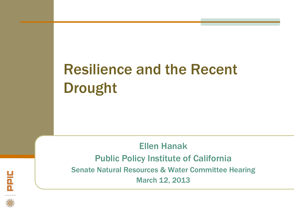# Resilience and the Recent Drought

Ellen Hanak Public Policy Institute of California Senate Natural Resources & Water Committee Hearing March 12, 2013

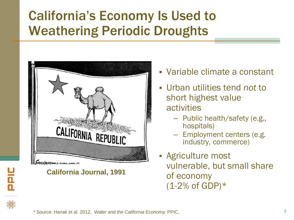## California's Economy Is Used to Weathering Periodic Droughts



**California Journal, 1991**

- Variable climate a constant
- Urban utilities tend *not* to short highest value activities
	- Public health/safety (e.g., hospitals)
	- Employment centers (e.g. industry, commerce)
- Agriculture most vulnerable, but small share of economy  $(1-2%$  of GDP)\*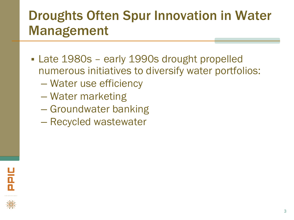### Droughts Often Spur Innovation in Water Management

- **Late 1980s early 1990s drought propelled** numerous initiatives to diversify water portfolios:
	- Water use efficiency
	- Water marketing
	- Groundwater banking
	- Recycled wastewater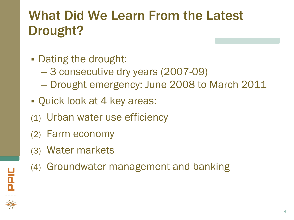## What Did We Learn From the Latest Drought?

- Dating the drought:
	- 3 consecutive dry years (2007-09)
	- Drought emergency: June 2008 to March 2011
- Quick look at 4 key areas:
- (1) Urban water use efficiency
- (2) Farm economy
- (3) Water markets
- (4) Groundwater management and banking

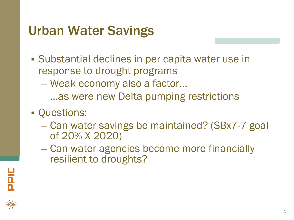### Urban Water Savings

- Substantial declines in per capita water use in response to drought programs
	- Weak economy also a factor…
	- …as were new Delta pumping restrictions
- Questions:
	- Can water savings be maintained? (SBx7-7 goal of 20% X 2020)
	- Can water agencies become more financially resilient to droughts?

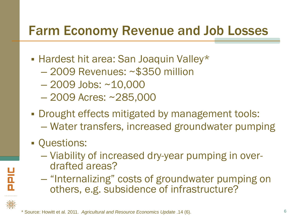#### Farm Economy Revenue and Job Losses

- **Hardest hit area: San Joaquin Valley\*** 
	- 2009 Revenues: ~\$350 million
	- 2009 Jobs: ~10,000
	- 2009 Acres: ~285,000
- **Drought effects mitigated by management tools:** 
	- Water transfers, increased groundwater pumping
- Questions:

**NE** 

- Viability of increased dry-year pumping in over- drafted areas?
- "Internalizing" costs of groundwater pumping on others, e.g. subsidence of infrastructure?

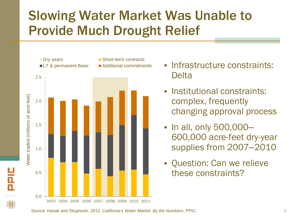### Slowing Water Market Was Unable to Provide Much Drought Relief



u<br>A<br>A

- **Infrastructure constraints: Delta**
- Institutional constraints: complex, frequently changing approval process
- In all, only 500,000-600,000 acre-feet dry-year supplies from 2007–2010
- Question: Can we relieve these constraints?

Source: Hanak and Stryjewski. 2012. *California's Water Market, By the Numbers*. PPIC.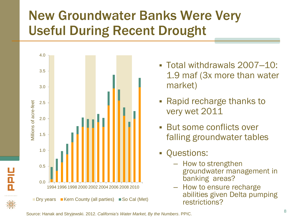## New Groundwater Banks Were Very Useful During Recent Drought



님<br>교

- Total withdrawals 2007–10: 1.9 maf (3x more than water market)
- Rapid recharge thanks to very wet 2011
- But some conflicts over falling groundwater tables
- Questions:
	- How to strengthen groundwater management in banking areas?
	- How to ensure recharge abilities given Delta pumping restrictions?

Source: Hanak and Stryjewski. 2012. *California's Water Market, By the Numbers*. PPIC.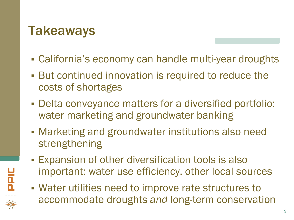### **Takeaways**

- California's economy can handle multi-year droughts
- But continued innovation is required to reduce the costs of shortages
- Delta conveyance matters for a diversified portfolio: water marketing and groundwater banking
- Marketing and groundwater institutions also need strengthening
- Expansion of other diversification tools is also important: water use efficiency, other local sources
- Water utilities need to improve rate structures to accommodate droughts *and* long-term conservation